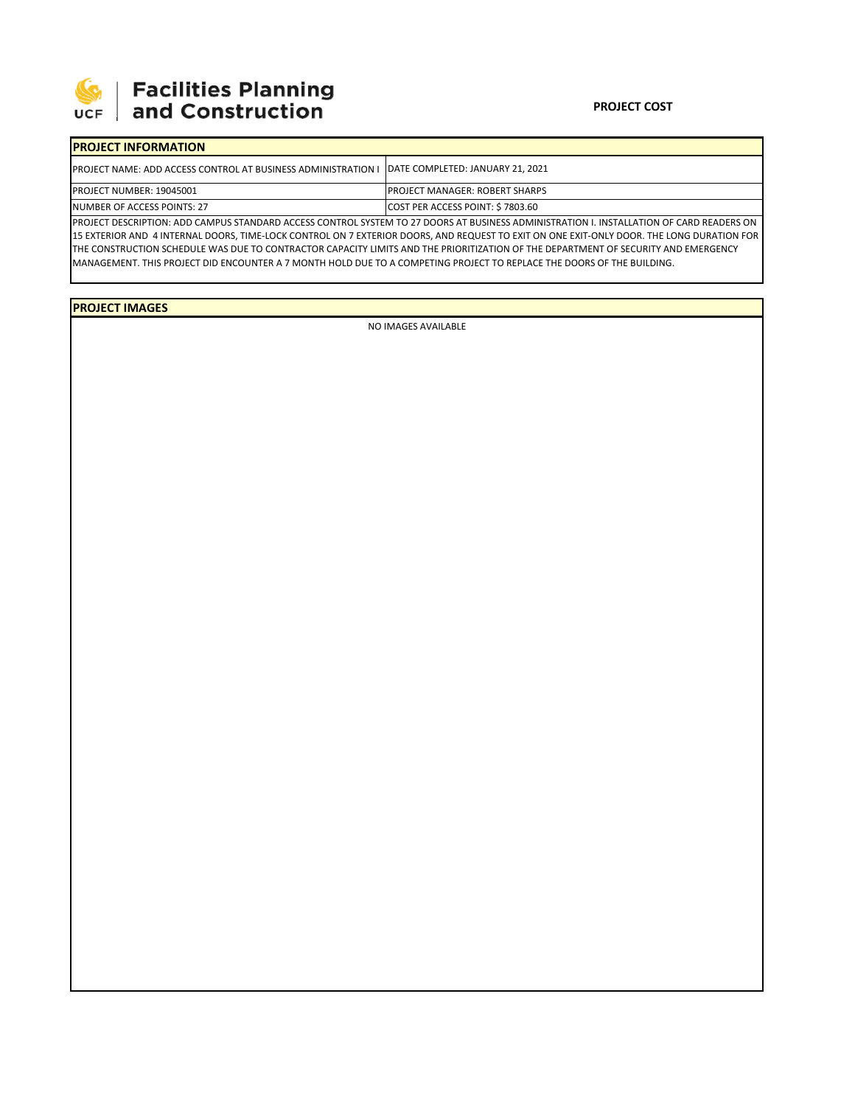

## 

| <b>PROJECT INFORMATION</b>                                                                                                                     |                                        |  |  |  |
|------------------------------------------------------------------------------------------------------------------------------------------------|----------------------------------------|--|--|--|
| <b>IPROJECT NAME: ADD ACCESS CONTROL AT BUSINESS ADMINISTRATION I IDATE COMPLETED: JANUARY 21, 2021</b>                                        |                                        |  |  |  |
| PROJECT NUMBER: 19045001                                                                                                                       | <b>IPROJECT MANAGER: ROBERT SHARPS</b> |  |  |  |
| NUMBER OF ACCESS POINTS: 27                                                                                                                    | COST PER ACCESS POINT: \$7803.60       |  |  |  |
| <b>IDDOJECT DECONDTION: ADD CAMPUIC CTANDADD ACCECC CONTROL CVCTEM TO 27 DOODC AT DUCINECC ADMINICTRATION LINCTALLATION OF CARD READERC ON</b> |                                        |  |  |  |

PROJECT DESCRIPTION: ADD CAMPUS STANDARD ACCESS CONTROL SYSTEM TO 27 DOORS AT BUSINESS ADMINISTRATION I. INSTALLATION OF CARD READERS ON 15 EXTERIOR AND 4 INTERNAL DOORS, TIME‐LOCK CONTROL ON 7 EXTERIOR DOORS, AND REQUEST TO EXIT ON ONE EXIT‐ONLY DOOR. THE LONG DURATION FOR THE CONSTRUCTION SCHEDULE WAS DUE TO CONTRACTOR CAPACITY LIMITS AND THE PRIORITIZATION OF THE DEPARTMENT OF SECURITY AND EMERGENCY MANAGEMENT. THIS PROJECT DID ENCOUNTER A 7 MONTH HOLD DUE TO A COMPETING PROJECT TO REPLACE THE DOORS OF THE BUILDING.

**PROJECT IMAGES**

NO IMAGES AVAILABLE